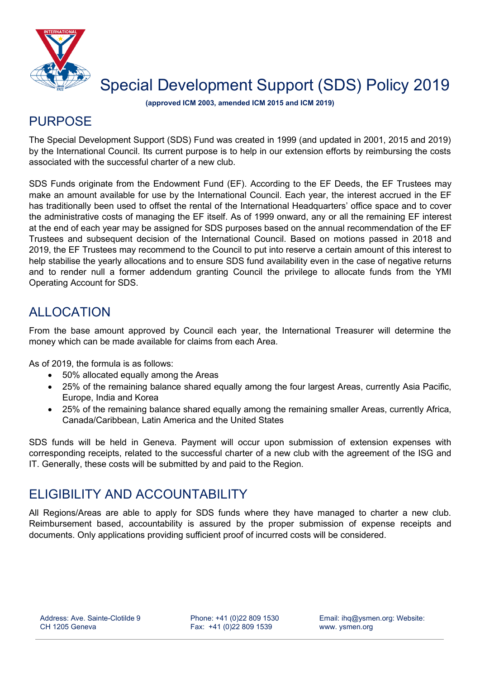

# Special Development Support (SDS) Policy 2019

**(approved ICM 2003, amended ICM 2015 and ICM 2019)**

#### **PURPOSE**

The Special Development Support (SDS) Fund was created in 1999 (and updated in 2001, 2015 and 2019) by the International Council. Its current purpose is to help in our extension efforts by reimbursing the costs associated with the successful charter of a new club.

SDS Funds originate from the Endowment Fund (EF). According to the EF Deeds, the EF Trustees may make an amount available for use by the International Council. Each year, the interest accrued in the EF has traditionally been used to offset the rental of the International Headquarters' office space and to cover the administrative costs of managing the EF itself. As of 1999 onward, any or all the remaining EF interest at the end of each year may be assigned for SDS purposes based on the annual recommendation of the EF Trustees and subsequent decision of the International Council. Based on motions passed in 2018 and 2019, the EF Trustees may recommend to the Council to put into reserve a certain amount of this interest to help stabilise the yearly allocations and to ensure SDS fund availability even in the case of negative returns and to render null a former addendum granting Council the privilege to allocate funds from the YMI Operating Account for SDS.

## ALLOCATION

From the base amount approved by Council each year, the International Treasurer will determine the money which can be made available for claims from each Area.

As of 2019, the formula is as follows:

- 50% allocated equally among the Areas
- 25% of the remaining balance shared equally among the four largest Areas, currently Asia Pacific, Europe, India and Korea
- 25% of the remaining balance shared equally among the remaining smaller Areas, currently Africa, Canada/Caribbean, Latin America and the United States

SDS funds will be held in Geneva. Payment will occur upon submission of extension expenses with corresponding receipts, related to the successful charter of a new club with the agreement of the ISG and IT. Generally, these costs will be submitted by and paid to the Region.

## ELIGIBILITY AND ACCOUNTABILITY

All Regions/Areas are able to apply for SDS funds where they have managed to charter a new club. Reimbursement based, accountability is assured by the proper submission of expense receipts and documents. Only applications providing sufficient proof of incurred costs will be considered.

Phone: +41 (0)22 809 1530 Fax: +41 (0)22 809 1539